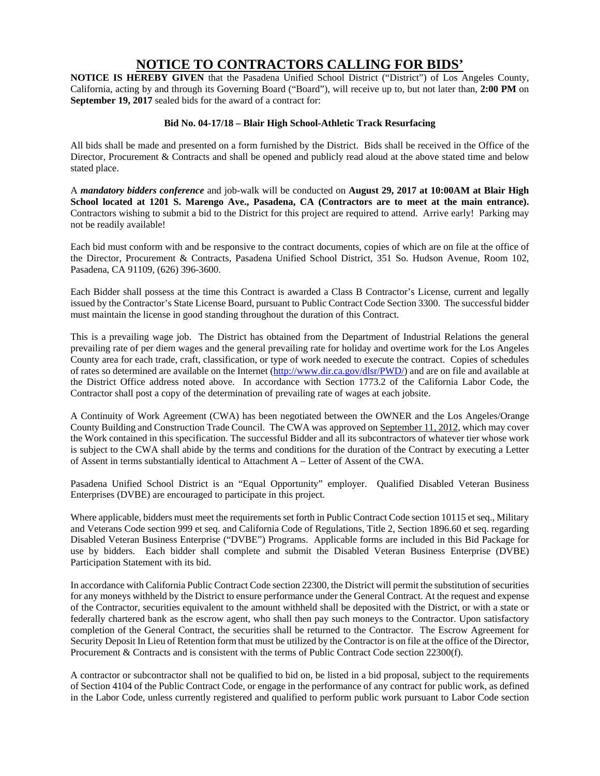## **NOTICE TO CONTRACTORS CALLING FOR BIDS'**

**NOTICE IS HEREBY GIVEN** that the Pasadena Unified School District ("District") of Los Angeles County, California, acting by and through its Governing Board ("Board"), will receive up to, but not later than, **2:00 PM** on **September 19, 2017** sealed bids for the award of a contract for:

## **Bid No. 04-17/18 – Blair High School-Athletic Track Resurfacing**

All bids shall be made and presented on a form furnished by the District. Bids shall be received in the Office of the Director, Procurement & Contracts and shall be opened and publicly read aloud at the above stated time and below stated place.

A *mandatory bidders conference* and job-walk will be conducted on **August 29, 2017 at 10:00AM at Blair High School located at 1201 S. Marengo Ave., Pasadena, CA (Contractors are to meet at the main entrance).** Contractors wishing to submit a bid to the District for this project are required to attend. Arrive early! Parking may not be readily available!

Each bid must conform with and be responsive to the contract documents, copies of which are on file at the office of the Director, Procurement & Contracts, Pasadena Unified School District, 351 So. Hudson Avenue, Room 102, Pasadena, CA 91109, (626) 396-3600.

Each Bidder shall possess at the time this Contract is awarded a Class B Contractor's License, current and legally issued by the Contractor's State License Board, pursuant to Public Contract Code Section 3300. The successful bidder must maintain the license in good standing throughout the duration of this Contract.

This is a prevailing wage job. The District has obtained from the Department of Industrial Relations the general prevailing rate of per diem wages and the general prevailing rate for holiday and overtime work for the Los Angeles County area for each trade, craft, classification, or type of work needed to execute the contract. Copies of schedules of rates so determined are available on the Internet (http://www.dir.ca.gov/dlsr/PWD/) and are on file and available at the District Office address noted above. In accordance with Section 1773.2 of the California Labor Code, the Contractor shall post a copy of the determination of prevailing rate of wages at each jobsite.

A Continuity of Work Agreement (CWA) has been negotiated between the OWNER and the Los Angeles/Orange County Building and Construction Trade Council. The CWA was approved on September 11, 2012, which may cover the Work contained in this specification. The successful Bidder and all its subcontractors of whatever tier whose work is subject to the CWA shall abide by the terms and conditions for the duration of the Contract by executing a Letter of Assent in terms substantially identical to Attachment A – Letter of Assent of the CWA.

Pasadena Unified School District is an "Equal Opportunity" employer. Qualified Disabled Veteran Business Enterprises (DVBE) are encouraged to participate in this project.

Where applicable, bidders must meet the requirements set forth in Public Contract Code section 10115 et seq., Military and Veterans Code section 999 et seq. and California Code of Regulations, Title 2, Section 1896.60 et seq. regarding Disabled Veteran Business Enterprise ("DVBE") Programs. Applicable forms are included in this Bid Package for use by bidders. Each bidder shall complete and submit the Disabled Veteran Business Enterprise (DVBE) Participation Statement with its bid.

In accordance with California Public Contract Code section 22300, the District will permit the substitution of securities for any moneys withheld by the District to ensure performance under the General Contract. At the request and expense of the Contractor, securities equivalent to the amount withheld shall be deposited with the District, or with a state or federally chartered bank as the escrow agent, who shall then pay such moneys to the Contractor. Upon satisfactory completion of the General Contract, the securities shall be returned to the Contractor. The Escrow Agreement for Security Deposit In Lieu of Retention form that must be utilized by the Contractor is on file at the office of the Director, Procurement & Contracts and is consistent with the terms of Public Contract Code section 22300(f).

A contractor or subcontractor shall not be qualified to bid on, be listed in a bid proposal, subject to the requirements of Section 4104 of the Public Contract Code, or engage in the performance of any contract for public work, as defined in the Labor Code, unless currently registered and qualified to perform public work pursuant to Labor Code section